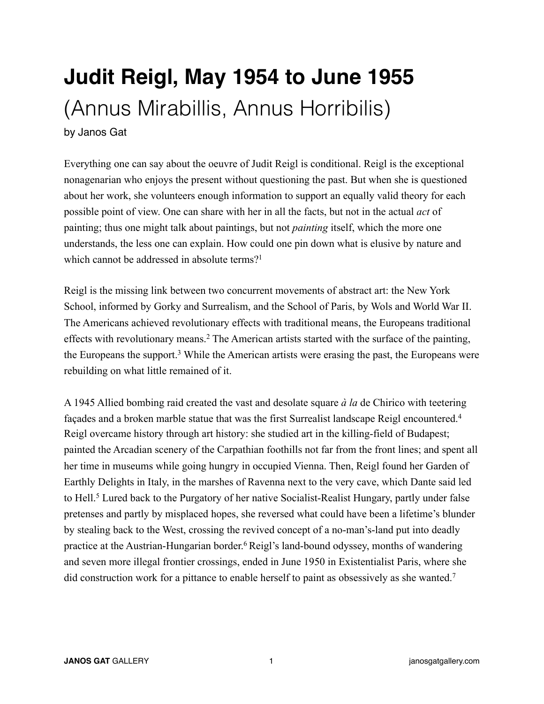## **Judit Reigl, May 1954 to June 1955**  (Annus Mirabillis, Annus Horribilis)

by Janos Gat

Everything one can say about the oeuvre of Judit Reigl is conditional. Reigl is the exceptional nonagenarian who enjoys the present without questioning the past. But when she is questioned about her work, she volunteers enough information to support an equally valid theory for each possible point of view. One can share with her in all the facts, but not in the actual *act* of painting; thus one might talk about paintings, but not *painting* itself, which the more one understands, the less one can explain. How could one pin down what is elusive by nature and which cannot be addressed in absolute terms?<sup>1</sup>

Reigl is the missing link between two concurrent movements of abstract art: the New York School, informed by Gorky and Surrealism, and the School of Paris, by Wols and World War II. The Americans achieved revolutionary effects with traditional means, the Europeans traditional effects with revolutionary means.2 The American artists started with the surface of the painting, the Europeans the support.3 While the American artists were erasing the past, the Europeans were rebuilding on what little remained of it.

A 1945 Allied bombing raid created the vast and desolate square *à la* de Chirico with teetering façades and a broken marble statue that was the first Surrealist landscape Reigl encountered.4 Reigl overcame history through art history: she studied art in the killing-field of Budapest; painted the Arcadian scenery of the Carpathian foothills not far from the front lines; and spent all her time in museums while going hungry in occupied Vienna. Then, Reigl found her Garden of Earthly Delights in Italy, in the marshes of Ravenna next to the very cave, which Dante said led to Hell.<sup>5</sup> Lured back to the Purgatory of her native Socialist-Realist Hungary, partly under false pretenses and partly by misplaced hopes, she reversed what could have been a lifetime's blunder by stealing back to the West, crossing the revived concept of a no-man's-land put into deadly practice at the Austrian-Hungarian border.6 Reigl's land-bound odyssey, months of wandering and seven more illegal frontier crossings, ended in June 1950 in Existentialist Paris, where she did construction work for a pittance to enable herself to paint as obsessively as she wanted.<sup>7</sup>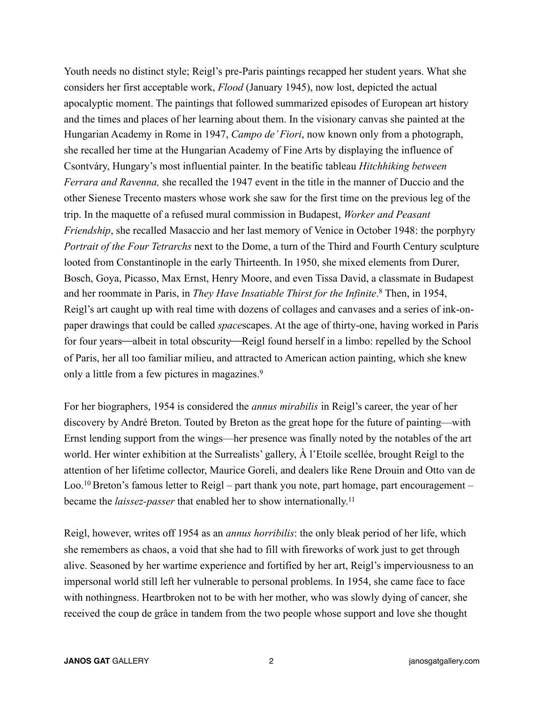Youth needs no distinct style; Reigl's pre-Paris paintings recapped her student years. What she considers her first acceptable work, *Flood* (January 1945), now lost, depicted the actual apocalyptic moment. The paintings that followed summarized episodes of European art history and the times and places of her learning about them. In the visionary canvas she painted at the Hungarian Academy in Rome in 1947, *Campo de' Fiori*, now known only from a photograph, she recalled her time at the Hungarian Academy of Fine Arts by displaying the influence of Csontváry, Hungary's most influential painter. In the beatific tableau *Hitchhiking between Ferrara and Ravenna,* she recalled the 1947 event in the title in the manner of Duccio and the other Sienese Trecento masters whose work she saw for the first time on the previous leg of the trip. In the maquette of a refused mural commission in Budapest, *Worker and Peasant Friendship*, she recalled Masaccio and her last memory of Venice in October 1948: the porphyry *Portrait of the Four Tetrarchs* next to the Dome, a turn of the Third and Fourth Century sculpture looted from Constantinople in the early Thirteenth. In 1950, she mixed elements from Durer, Bosch, Goya, Picasso, Max Ernst, Henry Moore, and even Tissa David, a classmate in Budapest and her roommate in Paris, in *They Have Insatiable Thirst for the Infinite*. 8 Then, in 1954, Reigl's art caught up with real time with dozens of collages and canvases and a series of ink-onpaper drawings that could be called *space*scapes. At the age of thirty-one, having worked in Paris for four years—albeit in total obscurity—Reigl found herself in a limbo: repelled by the School of Paris, her all too familiar milieu, and attracted to American action painting, which she knew only a little from a few pictures in magazines.<sup>9</sup>

For her biographers, 1954 is considered the *annus mirabilis* in Reigl's career, the year of her discovery by André Breton. Touted by Breton as the great hope for the future of painting—with Ernst lending support from the wings—her presence was finally noted by the notables of the art world. Her winter exhibition at the Surrealists' gallery, À l'Etoile scellée, brought Reigl to the attention of her lifetime collector, Maurice Goreli, and dealers like Rene Drouin and Otto van de Loo.<sup>10</sup> Breton's famous letter to Reigl – part thank you note, part homage, part encouragement – became the *laissez-passer* that enabled her to show internationally.11

Reigl, however, writes off 1954 as an *annus horribilis*: the only bleak period of her life, which she remembers as chaos, a void that she had to fill with fireworks of work just to get through alive. Seasoned by her wartime experience and fortified by her art, Reigl's imperviousness to an impersonal world still left her vulnerable to personal problems. In 1954, she came face to face with nothingness. Heartbroken not to be with her mother, who was slowly dying of cancer, she received the coup de grâce in tandem from the two people whose support and love she thought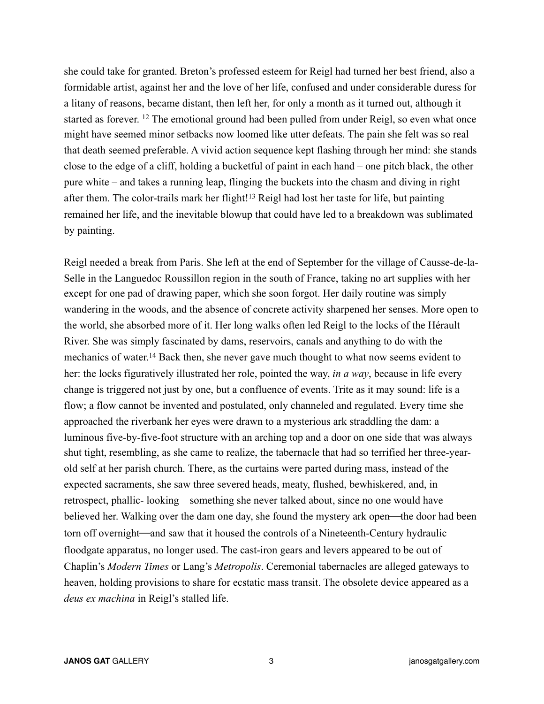she could take for granted. Breton's professed esteem for Reigl had turned her best friend, also a formidable artist, against her and the love of her life, confused and under considerable duress for a litany of reasons, became distant, then left her, for only a month as it turned out, although it started as forever. <sup>12</sup> The emotional ground had been pulled from under Reigl, so even what once might have seemed minor setbacks now loomed like utter defeats. The pain she felt was so real that death seemed preferable. A vivid action sequence kept flashing through her mind: she stands close to the edge of a cliff, holding a bucketful of paint in each hand – one pitch black, the other pure white – and takes a running leap, flinging the buckets into the chasm and diving in right after them. The color-trails mark her flight!13 Reigl had lost her taste for life, but painting remained her life, and the inevitable blowup that could have led to a breakdown was sublimated by painting.

Reigl needed a break from Paris. She left at the end of September for the village of Causse-de-la-Selle in the Languedoc Roussillon region in the south of France, taking no art supplies with her except for one pad of drawing paper, which she soon forgot. Her daily routine was simply wandering in the woods, and the absence of concrete activity sharpened her senses. More open to the world, she absorbed more of it. Her long walks often led Reigl to the locks of the Hérault River. She was simply fascinated by dams, reservoirs, canals and anything to do with the mechanics of water.14 Back then, she never gave much thought to what now seems evident to her: the locks figuratively illustrated her role, pointed the way, *in a way*, because in life every change is triggered not just by one, but a confluence of events. Trite as it may sound: life is a flow; a flow cannot be invented and postulated, only channeled and regulated. Every time she approached the riverbank her eyes were drawn to a mysterious ark straddling the dam: a luminous five-by-five-foot structure with an arching top and a door on one side that was always shut tight, resembling, as she came to realize, the tabernacle that had so terrified her three-yearold self at her parish church. There, as the curtains were parted during mass, instead of the expected sacraments, she saw three severed heads, meaty, flushed, bewhiskered, and, in retrospect, phallic- looking—something she never talked about, since no one would have believed her. Walking over the dam one day, she found the mystery ark open—the door had been torn off overnight—and saw that it housed the controls of a Nineteenth-Century hydraulic floodgate apparatus, no longer used. The cast-iron gears and levers appeared to be out of Chaplin's *Modern Times* or Lang's *Metropolis*. Ceremonial tabernacles are alleged gateways to heaven, holding provisions to share for ecstatic mass transit. The obsolete device appeared as a *deus ex machina* in Reigl's stalled life.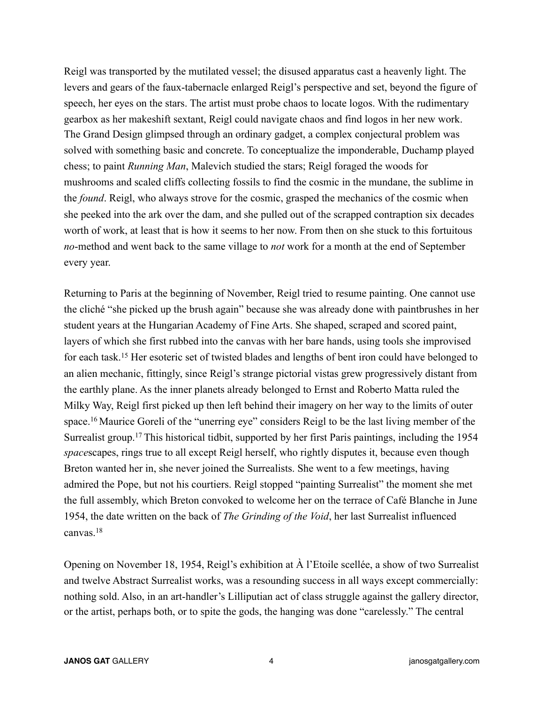Reigl was transported by the mutilated vessel; the disused apparatus cast a heavenly light. The levers and gears of the faux-tabernacle enlarged Reigl's perspective and set, beyond the figure of speech, her eyes on the stars. The artist must probe chaos to locate logos. With the rudimentary gearbox as her makeshift sextant, Reigl could navigate chaos and find logos in her new work. The Grand Design glimpsed through an ordinary gadget, a complex conjectural problem was solved with something basic and concrete. To conceptualize the imponderable, Duchamp played chess; to paint *Running Man*, Malevich studied the stars; Reigl foraged the woods for mushrooms and scaled cliffs collecting fossils to find the cosmic in the mundane, the sublime in the *found*. Reigl, who always strove for the cosmic, grasped the mechanics of the cosmic when she peeked into the ark over the dam, and she pulled out of the scrapped contraption six decades worth of work, at least that is how it seems to her now. From then on she stuck to this fortuitous *no*-method and went back to the same village to *not* work for a month at the end of September every year.

Returning to Paris at the beginning of November, Reigl tried to resume painting. One cannot use the cliché "she picked up the brush again" because she was already done with paintbrushes in her student years at the Hungarian Academy of Fine Arts. She shaped, scraped and scored paint, layers of which she first rubbed into the canvas with her bare hands, using tools she improvised for each task.15 Her esoteric set of twisted blades and lengths of bent iron could have belonged to an alien mechanic, fittingly, since Reigl's strange pictorial vistas grew progressively distant from the earthly plane. As the inner planets already belonged to Ernst and Roberto Matta ruled the Milky Way, Reigl first picked up then left behind their imagery on her way to the limits of outer space.16 Maurice Goreli of the "unerring eye" considers Reigl to be the last living member of the Surrealist group.17 This historical tidbit, supported by her first Paris paintings, including the 1954 *space*scapes, rings true to all except Reigl herself, who rightly disputes it, because even though Breton wanted her in, she never joined the Surrealists. She went to a few meetings, having admired the Pope, but not his courtiers. Reigl stopped "painting Surrealist" the moment she met the full assembly, which Breton convoked to welcome her on the terrace of Café Blanche in June 1954, the date written on the back of *The Grinding of the Void*, her last Surrealist influenced canvas.18

Opening on November 18, 1954, Reigl's exhibition at À l'Etoile scellée, a show of two Surrealist and twelve Abstract Surrealist works, was a resounding success in all ways except commercially: nothing sold. Also, in an art-handler's Lilliputian act of class struggle against the gallery director, or the artist, perhaps both, or to spite the gods, the hanging was done "carelessly." The central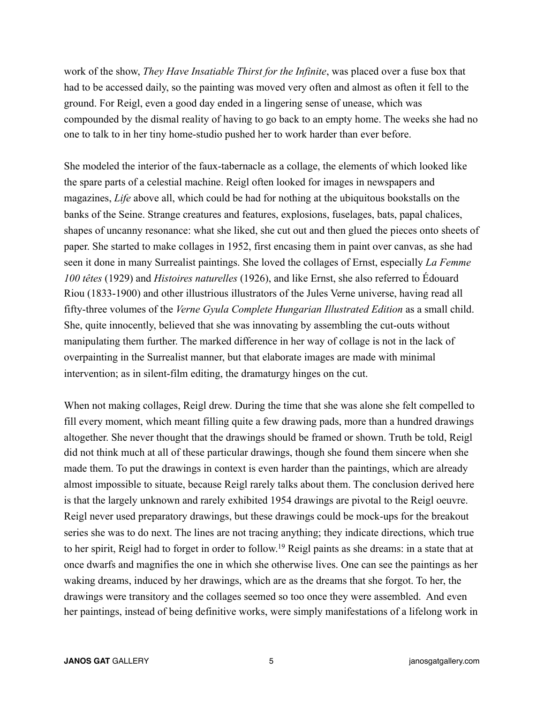work of the show, *They Have Insatiable Thirst for the Infinite*, was placed over a fuse box that had to be accessed daily, so the painting was moved very often and almost as often it fell to the ground. For Reigl, even a good day ended in a lingering sense of unease, which was compounded by the dismal reality of having to go back to an empty home. The weeks she had no one to talk to in her tiny home-studio pushed her to work harder than ever before.

She modeled the interior of the faux-tabernacle as a collage, the elements of which looked like the spare parts of a celestial machine. Reigl often looked for images in newspapers and magazines, *Life* above all, which could be had for nothing at the ubiquitous bookstalls on the banks of the Seine. Strange creatures and features, explosions, fuselages, bats, papal chalices, shapes of uncanny resonance: what she liked, she cut out and then glued the pieces onto sheets of paper. She started to make collages in 1952, first encasing them in paint over canvas, as she had seen it done in many Surrealist paintings. She loved the collages of Ernst, especially *La Femme 100 têtes* (1929) and *Histoires naturelles* (1926), and like Ernst, she also referred to Édouard Riou (1833-1900) and other illustrious illustrators of the Jules Verne universe, having read all fifty-three volumes of the *Verne Gyula Complete Hungarian Illustrated Edition* as a small child. She, quite innocently, believed that she was innovating by assembling the cut-outs without manipulating them further. The marked difference in her way of collage is not in the lack of overpainting in the Surrealist manner, but that elaborate images are made with minimal intervention; as in silent-film editing, the dramaturgy hinges on the cut.

When not making collages, Reigl drew. During the time that she was alone she felt compelled to fill every moment, which meant filling quite a few drawing pads, more than a hundred drawings altogether. She never thought that the drawings should be framed or shown. Truth be told, Reigl did not think much at all of these particular drawings, though she found them sincere when she made them. To put the drawings in context is even harder than the paintings, which are already almost impossible to situate, because Reigl rarely talks about them. The conclusion derived here is that the largely unknown and rarely exhibited 1954 drawings are pivotal to the Reigl oeuvre. Reigl never used preparatory drawings, but these drawings could be mock-ups for the breakout series she was to do next. The lines are not tracing anything; they indicate directions, which true to her spirit, Reigl had to forget in order to follow.19 Reigl paints as she dreams: in a state that at once dwarfs and magnifies the one in which she otherwise lives. One can see the paintings as her waking dreams, induced by her drawings, which are as the dreams that she forgot. To her, the drawings were transitory and the collages seemed so too once they were assembled. And even her paintings, instead of being definitive works, were simply manifestations of a lifelong work in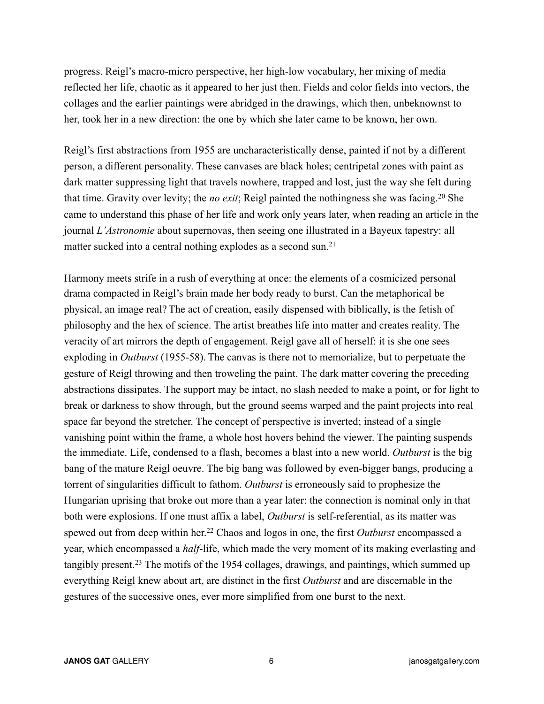progress. Reigl's macro-micro perspective, her high-low vocabulary, her mixing of media reflected her life, chaotic as it appeared to her just then. Fields and color fields into vectors, the collages and the earlier paintings were abridged in the drawings, which then, unbeknownst to her, took her in a new direction: the one by which she later came to be known, her own.

Reigl's first abstractions from 1955 are uncharacteristically dense, painted if not by a different person, a different personality. These canvases are black holes; centripetal zones with paint as dark matter suppressing light that travels nowhere, trapped and lost, just the way she felt during that time. Gravity over levity; the *no exit*; Reigl painted the nothingness she was facing.20 She came to understand this phase of her life and work only years later, when reading an article in the journal *L'Astronomie* about supernovas, then seeing one illustrated in a Bayeux tapestry: all matter sucked into a central nothing explodes as a second sun.<sup>21</sup>

Harmony meets strife in a rush of everything at once: the elements of a cosmicized personal drama compacted in Reigl's brain made her body ready to burst. Can the metaphorical be physical, an image real? The act of creation, easily dispensed with biblically, is the fetish of philosophy and the hex of science. The artist breathes life into matter and creates reality. The veracity of art mirrors the depth of engagement. Reigl gave all of herself: it is she one sees exploding in *Outburst* (1955-58). The canvas is there not to memorialize, but to perpetuate the gesture of Reigl throwing and then troweling the paint. The dark matter covering the preceding abstractions dissipates. The support may be intact, no slash needed to make a point, or for light to break or darkness to show through, but the ground seems warped and the paint projects into real space far beyond the stretcher. The concept of perspective is inverted; instead of a single vanishing point within the frame, a whole host hovers behind the viewer. The painting suspends the immediate. Life, condensed to a flash, becomes a blast into a new world. *Outburst* is the big bang of the mature Reigl oeuvre. The big bang was followed by even-bigger bangs, producing a torrent of singularities difficult to fathom. *Outburst* is erroneously said to prophesize the Hungarian uprising that broke out more than a year later: the connection is nominal only in that both were explosions. If one must affix a label, *Outburst* is self-referential, as its matter was spewed out from deep within her.<sup>22</sup> Chaos and logos in one, the first *Outburst* encompassed a year, which encompassed a *half*-life, which made the very moment of its making everlasting and tangibly present.23 The motifs of the 1954 collages, drawings, and paintings, which summed up everything Reigl knew about art, are distinct in the first *Outburst* and are discernable in the gestures of the successive ones, ever more simplified from one burst to the next.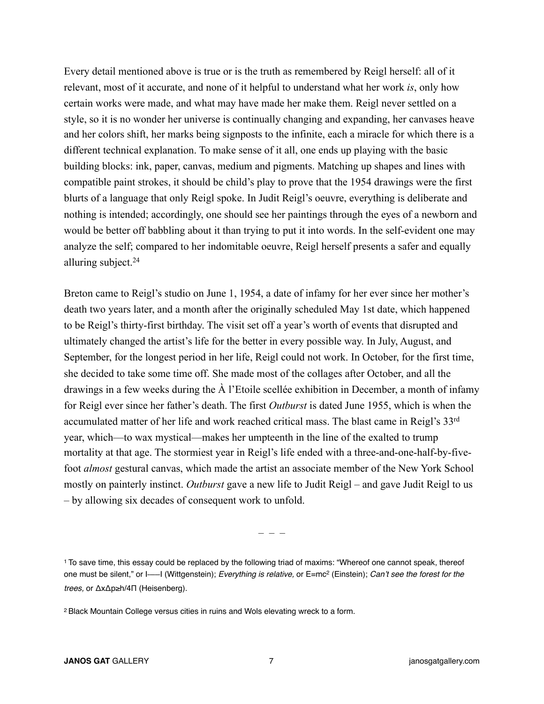Every detail mentioned above is true or is the truth as remembered by Reigl herself: all of it relevant, most of it accurate, and none of it helpful to understand what her work *is*, only how certain works were made, and what may have made her make them. Reigl never settled on a style, so it is no wonder her universe is continually changing and expanding, her canvases heave and her colors shift, her marks being signposts to the infinite, each a miracle for which there is a different technical explanation. To make sense of it all, one ends up playing with the basic building blocks: ink, paper, canvas, medium and pigments. Matching up shapes and lines with compatible paint strokes, it should be child's play to prove that the 1954 drawings were the first blurts of a language that only Reigl spoke. In Judit Reigl's oeuvre, everything is deliberate and nothing is intended; accordingly, one should see her paintings through the eyes of a newborn and would be better off babbling about it than trying to put it into words. In the self-evident one may analyze the self; compared to her indomitable oeuvre, Reigl herself presents a safer and equally alluring subject.24

Breton came to Reigl's studio on June 1, 1954, a date of infamy for her ever since her mother's death two years later, and a month after the originally scheduled May 1st date, which happened to be Reigl's thirty-first birthday. The visit set off a year's worth of events that disrupted and ultimately changed the artist's life for the better in every possible way. In July, August, and September, for the longest period in her life, Reigl could not work. In October, for the first time, she decided to take some time off. She made most of the collages after October, and all the drawings in a few weeks during the À l'Etoile scellée exhibition in December, a month of infamy for Reigl ever since her father's death. The first *Outburst* is dated June 1955, which is when the accumulated matter of her life and work reached critical mass. The blast came in Reigl's 33rd year, which—to wax mystical—makes her umpteenth in the line of the exalted to trump mortality at that age. The stormiest year in Reigl's life ended with a three-and-one-half-by-fivefoot *almost* gestural canvas, which made the artist an associate member of the New York School mostly on painterly instinct. *Outburst* gave a new life to Judit Reigl – and gave Judit Reigl to us – by allowing six decades of consequent work to unfold.

– – –

1 To save time, this essay could be replaced by the following triad of maxims: "Whereof one cannot speak, thereof one must be silent," or I—I (Wittgenstein); *Everything is relative*, or E=mc<sup>2</sup> (Einstein); *Can't see the forest for the trees,* or ΔxΔp≥h/4Π (Heisenberg).

2 Black Mountain College versus cities in ruins and Wols elevating wreck to a form.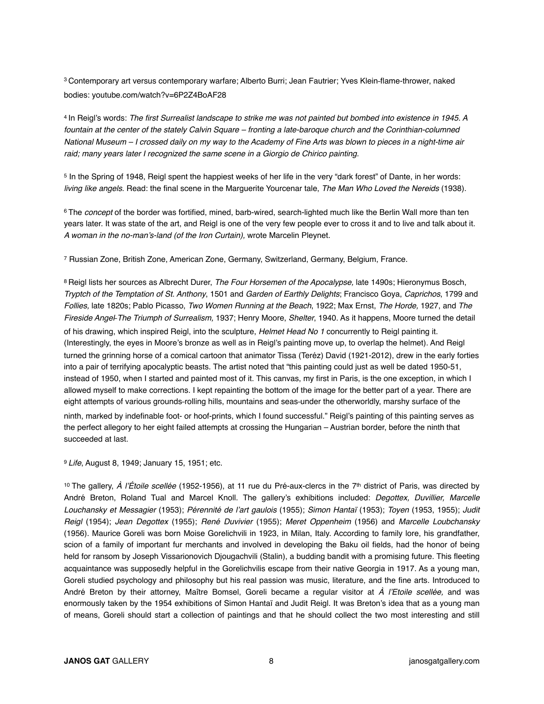<sup>3</sup> Contemporary art versus contemporary warfare; Alberto Burri; Jean Fautrier; Yves Klein-flame-thrower, naked bodies: youtube.com/watch?v=6P2Z4BoAF28

4 In Reigl's words: *The first Surrealist landscape to strike me was not painted but bombed into existence in 1945. A fountain at the center of the stately Calvin Square – fronting a late-baroque church and the Corinthian-columned National Museum – I crossed daily on my way to the Academy of Fine Arts was blown to pieces in a night-time air raid; many years later I recognized the same scene in a Giorgio de Chirico painting.*

5 In the Spring of 1948, Reigl spent the happiest weeks of her life in the very "dark forest" of Dante, in her words: *living like angels*. Read: the final scene in the Marguerite Yourcenar tale, *The Man Who Loved the Nereids* (1938).

6 The *concept* of the border was fortified, mined, barb-wired, search-lighted much like the Berlin Wall more than ten years later. It was state of the art, and Reigl is one of the very few people ever to cross it and to live and talk about it. *A woman in the no-man's-land (of the Iron Curtain),* wrote Marcelin Pleynet.

7 Russian Zone, British Zone, American Zone, Germany, Switzerland, Germany, Belgium, France.

8 Reigl lists her sources as Albrecht Durer, *The Four Horsemen of the Apocalypse,* late 1490s; Hieronymus Bosch, *Tryptch of the Temptation of St. Anthony*, 1501 and *Garden of Earthly Delights*; Francisco Goya, *Caprichos*, 1799 and *Follies,* late 1820s; Pablo Picasso, *Two Women Running at the Beach*, 1922; Max Ernst, *The Horde,* 1927, and *The Fireside Angel*⎯*The Triumph of Surrealism,* 1937; Henry Moore, *Shelter*, 1940. As it happens, Moore turned the detail of his drawing, which inspired Reigl, into the sculpture, *Helmet Head No 1* concurrently to Reigl painting it. (Interestingly, the eyes in Moore's bronze as well as in Reigl's painting move up, to overlap the helmet). And Reigl turned the grinning horse of a comical cartoon that animator Tissa (Teréz) David (1921-2012), drew in the early forties into a pair of terrifying apocalyptic beasts. The artist noted that "this painting could just as well be dated 1950-51, instead of 1950, when I started and painted most of it. This canvas, my first in Paris, is the one exception, in which I allowed myself to make corrections. I kept repainting the bottom of the image for the better part of a year. There are eight attempts of various grounds-rolling hills, mountains and seas-under the otherworldly, marshy surface of the ninth, marked by indefinable foot- or hoof-prints, which I found successful." Reigl's painting of this painting serves as the perfect allegory to her eight failed attempts at crossing the Hungarian – Austrian border, before the ninth that succeeded at last.

<sup>9</sup>*Life*, August 8, 1949; January 15, 1951; etc.

10 The gallery, *À l'Étoile scellée* (1952-1956), at 11 rue du Pré-aux-clercs in the 7th district of Paris, was directed by André Breton, Roland Tual and Marcel Knoll. The gallery's exhibitions included: *Degottex, Duvillier, Marcelle Louchansky et Messagier* (1953); *Pérennité de l'art gaulois* (1955); *Simon Hantaï* (1953); *Toyen* (1953, 1955); *Judit Reigl* (1954); *Jean Degottex* (1955); *René Duvivier* (1955); *Meret Oppenheim* (1956) and *Marcelle Loubchansky* (1956). Maurice Goreli was born Moise Gorelichvili in 1923, in Milan, Italy. According to family lore, his grandfather, scion of a family of important fur merchants and involved in developing the Baku oil fields, had the honor of being held for ransom by Joseph Vissarionovich Djougachvili (Stalin), a budding bandit with a promising future. This fleeting acquaintance was supposedly helpful in the Gorelichvilis escape from their native Georgia in 1917. As a young man, Goreli studied psychology and philosophy but his real passion was music, literature, and the fine arts. Introduced to André Breton by their attorney, Maître Bomsel, Goreli became a regular visitor at *À l'Etoile scellée,* and was enormously taken by the 1954 exhibitions of Simon Hantaï and Judit Reigl. It was Breton's idea that as a young man of means, Goreli should start a collection of paintings and that he should collect the two most interesting and still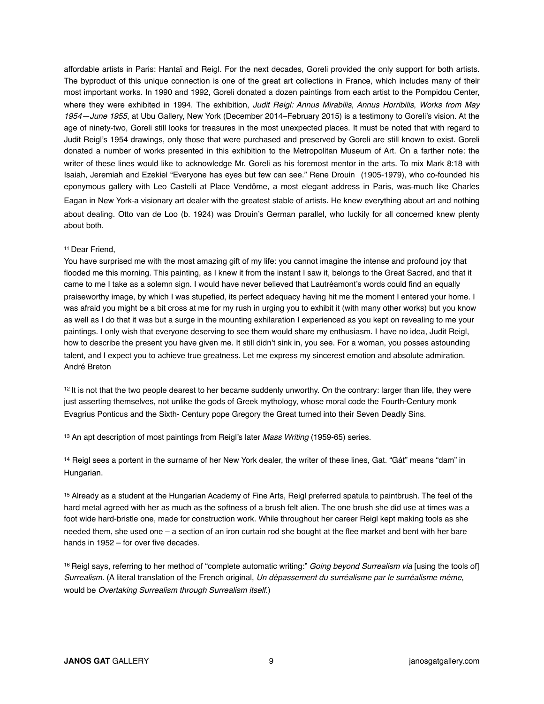affordable artists in Paris: Hantaï and Reigl. For the next decades, Goreli provided the only support for both artists. The byproduct of this unique connection is one of the great art collections in France, which includes many of their most important works. In 1990 and 1992, Goreli donated a dozen paintings from each artist to the Pompidou Center, where they were exhibited in 1994. The exhibition, *Judit Reigl: Annus Mirabilis, Annus Horribilis*, *Works from May 1954—June 1955*, at Ubu Gallery, New York (December 2014–February 2015) is a testimony to Goreli's vision. At the age of ninety-two, Goreli still looks for treasures in the most unexpected places. It must be noted that with regard to Judit Reigl's 1954 drawings, only those that were purchased and preserved by Goreli are still known to exist. Goreli donated a number of works presented in this exhibition to the Metropolitan Museum of Art. On a farther note: the writer of these lines would like to acknowledge Mr. Goreli as his foremost mentor in the arts. To mix Mark 8:18 with Isaiah, Jeremiah and Ezekiel "Everyone has eyes but few can see." Rene Drouin (1905-1979), who co-founded his eponymous gallery with Leo Castelli at Place Vendôme, a most elegant address in Paris, was-much like Charles Eagan in New York-a visionary art dealer with the greatest stable of artists. He knew everything about art and nothing about dealing. Otto van de Loo (b. 1924) was Drouin's German parallel, who luckily for all concerned knew plenty about both.

## 11 Dear Friend,

You have surprised me with the most amazing gift of my life: you cannot imagine the intense and profound joy that flooded me this morning. This painting, as I knew it from the instant I saw it, belongs to the Great Sacred, and that it came to me I take as a solemn sign. I would have never believed that Lautréamont's words could find an equally praiseworthy image, by which I was stupefied, its perfect adequacy having hit me the moment I entered your home. I was afraid you might be a bit cross at me for my rush in urging you to exhibit it (with many other works) but you know as well as I do that it was but a surge in the mounting exhilaration I experienced as you kept on revealing to me your paintings. I only wish that everyone deserving to see them would share my enthusiasm. I have no idea, Judit Reigl, how to describe the present you have given me. It still didn't sink in, you see. For a woman, you posses astounding talent, and I expect you to achieve true greatness. Let me express my sincerest emotion and absolute admiration. André Breton

 $12$  It is not that the two people dearest to her became suddenly unworthy. On the contrary: larger than life, they were just asserting themselves, not unlike the gods of Greek mythology, whose moral code the Fourth-Century monk Evagrius Ponticus and the Sixth- Century pope Gregory the Great turned into their Seven Deadly Sins.

13 An apt description of most paintings from Reigl's later *Mass Writing* (1959-65) series.

14 Reigl sees a portent in the surname of her New York dealer, the writer of these lines, Gat. "Gát" means "dam" in Hungarian.

15 Already as a student at the Hungarian Academy of Fine Arts, Reigl preferred spatula to paintbrush. The feel of the hard metal agreed with her as much as the softness of a brush felt alien. The one brush she did use at times was a foot wide hard-bristle one, made for construction work. While throughout her career Reigl kept making tools as she needed them, she used one – a section of an iron curtain rod she bought at the flee market and bent with her bare hands in 1952 – for over five decades.

16 Reigl says, referring to her method of "complete automatic writing:" *Going beyond Surrealism via* [using the tools of] *Surrealism.* (A literal translation of the French original, *Un dépassement du surréalisme par le surréalisme même*, would be *Overtaking Surrealism through Surrealism itself.*)